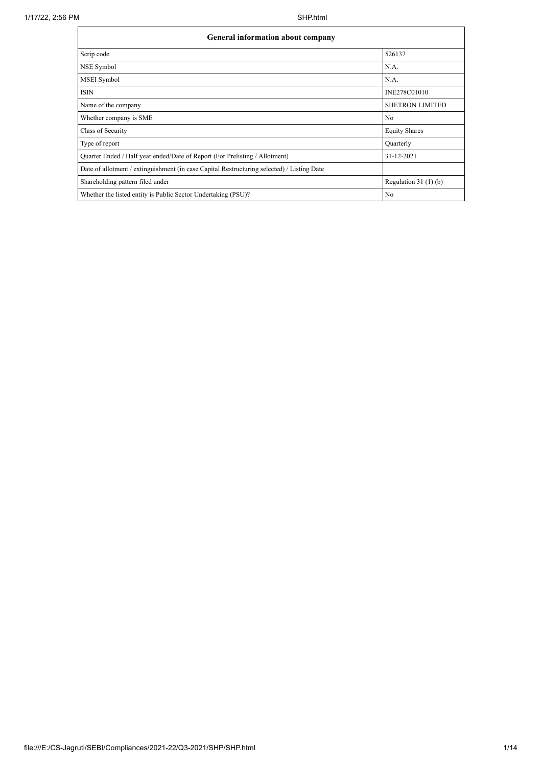| <b>General information about company</b>                                                   |                        |  |  |  |  |  |  |  |
|--------------------------------------------------------------------------------------------|------------------------|--|--|--|--|--|--|--|
| Scrip code                                                                                 | 526137                 |  |  |  |  |  |  |  |
| NSE Symbol<br>N.A.                                                                         |                        |  |  |  |  |  |  |  |
| MSEI Symbol                                                                                | N.A.                   |  |  |  |  |  |  |  |
| <b>ISIN</b>                                                                                | INE278C01010           |  |  |  |  |  |  |  |
| Name of the company                                                                        | <b>SHETRON LIMITED</b> |  |  |  |  |  |  |  |
| Whether company is SME                                                                     | No                     |  |  |  |  |  |  |  |
| Class of Security                                                                          | <b>Equity Shares</b>   |  |  |  |  |  |  |  |
| Type of report                                                                             | Quarterly              |  |  |  |  |  |  |  |
| Quarter Ended / Half year ended/Date of Report (For Prelisting / Allotment)                | 31-12-2021             |  |  |  |  |  |  |  |
| Date of allotment / extinguishment (in case Capital Restructuring selected) / Listing Date |                        |  |  |  |  |  |  |  |
| Shareholding pattern filed under                                                           | Regulation $31(1)(b)$  |  |  |  |  |  |  |  |
| Whether the listed entity is Public Sector Undertaking (PSU)?                              | No                     |  |  |  |  |  |  |  |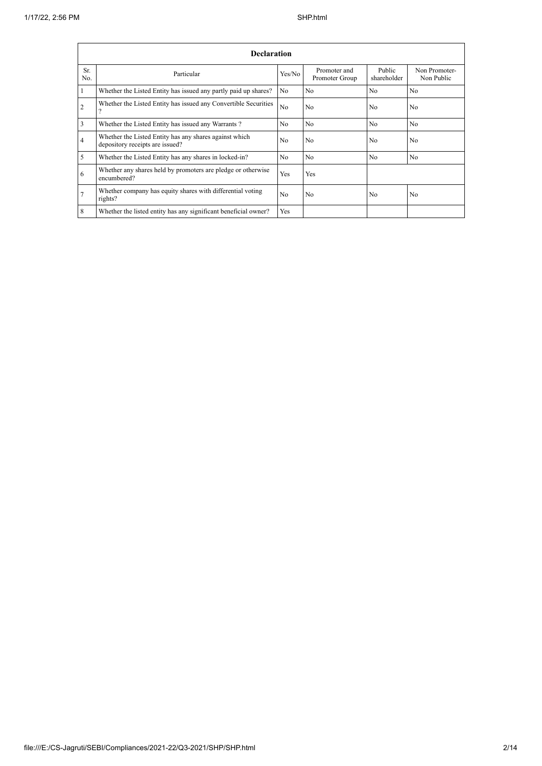|            | <b>Declaration</b>                                                                        |                |                                |                       |                             |  |  |  |
|------------|-------------------------------------------------------------------------------------------|----------------|--------------------------------|-----------------------|-----------------------------|--|--|--|
| Sr.<br>No. | Particular                                                                                | Yes/No         | Promoter and<br>Promoter Group | Public<br>shareholder | Non Promoter-<br>Non Public |  |  |  |
| 1          | Whether the Listed Entity has issued any partly paid up shares?                           | N <sub>o</sub> | N <sub>o</sub>                 | No                    | No                          |  |  |  |
| 2          | Whether the Listed Entity has issued any Convertible Securities<br>$\overline{?}$         | N <sub>o</sub> | N <sub>0</sub>                 | No                    | N <sub>0</sub>              |  |  |  |
| 3          | Whether the Listed Entity has issued any Warrants?                                        | N <sub>o</sub> | N <sub>o</sub>                 | No                    | No                          |  |  |  |
| 4          | Whether the Listed Entity has any shares against which<br>depository receipts are issued? | No             | No                             | No                    | No                          |  |  |  |
| 5          | Whether the Listed Entity has any shares in locked-in?                                    | N <sub>o</sub> | N <sub>o</sub>                 | No                    | No                          |  |  |  |
| 6          | Whether any shares held by promoters are pledge or otherwise<br>encumbered?               | Yes            | Yes                            |                       |                             |  |  |  |
| 7          | Whether company has equity shares with differential voting<br>rights?                     | No             | No                             | No                    | N <sub>o</sub>              |  |  |  |
| 8          | Whether the listed entity has any significant beneficial owner?                           | Yes            |                                |                       |                             |  |  |  |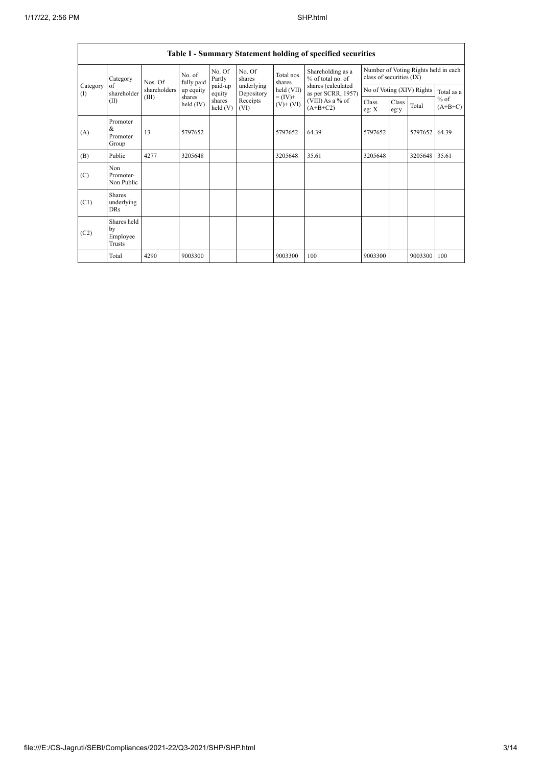|                      |                                                |                         |                                                            |                      |                          |                              | <b>Table I - Summary Statement holding of specified securities</b> |                                                                  |               |                           |                                   |
|----------------------|------------------------------------------------|-------------------------|------------------------------------------------------------|----------------------|--------------------------|------------------------------|--------------------------------------------------------------------|------------------------------------------------------------------|---------------|---------------------------|-----------------------------------|
|                      | Category                                       | Nos. Of<br>shareholders | No. of<br>fully paid<br>up equity<br>shares<br>held $(IV)$ | No. Of<br>Partly     | No. Of<br>shares         | Total nos.<br>shares         | Shareholding as a<br>% of total no. of                             | Number of Voting Rights held in each<br>class of securities (IX) |               |                           |                                   |
| Category<br>$\rm(I)$ | of<br>shareholder                              |                         |                                                            | paid-up<br>equity    | underlying<br>Depository | held (VII)                   | shares (calculated<br>as per SCRR, 1957)                           |                                                                  |               | No of Voting (XIV) Rights | Total as a<br>$%$ of<br>$(A+B+C)$ |
|                      | (II)                                           | (III)                   |                                                            | shares<br>held $(V)$ | Receipts<br>(VI)         | $= (IV) +$<br>$(V)$ + $(VI)$ | (VIII) As a % of<br>$(A+B+C2)$                                     | Class<br>eg: $X$                                                 | Class<br>eg:y | Total                     |                                   |
| (A)                  | Promoter<br>&<br>Promoter<br>Group             | 13                      | 5797652                                                    |                      |                          | 5797652                      | 64.39                                                              | 5797652                                                          |               | 5797652                   | 64.39                             |
| (B)                  | Public                                         | 4277                    | 3205648                                                    |                      |                          | 3205648                      | 35.61                                                              | 3205648                                                          |               | 3205648                   | 35.61                             |
| (C)                  | Non<br>Promoter-<br>Non Public                 |                         |                                                            |                      |                          |                              |                                                                    |                                                                  |               |                           |                                   |
| (C1)                 | <b>Shares</b><br>underlying<br><b>DRs</b>      |                         |                                                            |                      |                          |                              |                                                                    |                                                                  |               |                           |                                   |
| (C2)                 | Shares held<br>by<br>Employee<br><b>Trusts</b> |                         |                                                            |                      |                          |                              |                                                                    |                                                                  |               |                           |                                   |
|                      | Total                                          | 4290                    | 9003300                                                    |                      |                          | 9003300                      | 100                                                                | 9003300                                                          |               | 9003300                   | 100                               |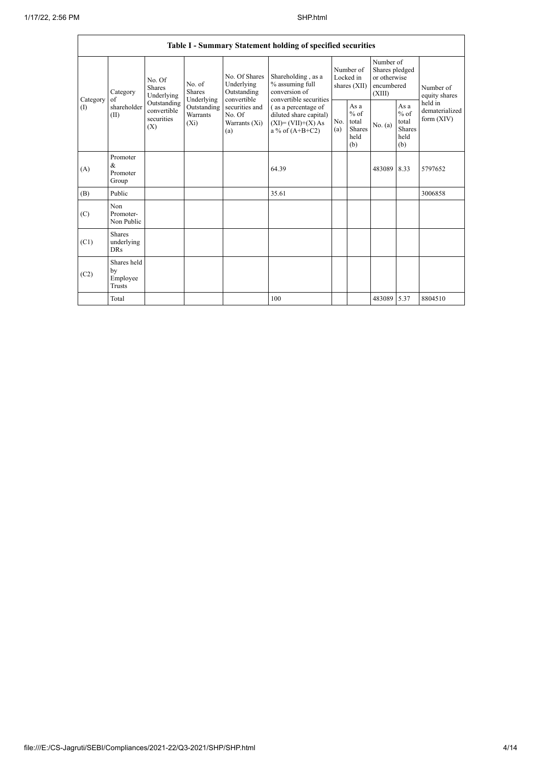|                 |                                           |                                                                                          |                                                                      |                                                                                                               | Table I - Summary Statement holding of specified securities                                                                                                                     |                                          |                                                  |                                                                     |                                                  |                                           |
|-----------------|-------------------------------------------|------------------------------------------------------------------------------------------|----------------------------------------------------------------------|---------------------------------------------------------------------------------------------------------------|---------------------------------------------------------------------------------------------------------------------------------------------------------------------------------|------------------------------------------|--------------------------------------------------|---------------------------------------------------------------------|--------------------------------------------------|-------------------------------------------|
| Category<br>(1) | Category<br>of<br>shareholder<br>(II)     | No. Of<br><b>Shares</b><br>Underlying<br>Outstanding<br>convertible<br>securities<br>(X) | No. of<br>Shares<br>Underlying<br>Outstanding<br>Warrants<br>$(X_i)$ | No. Of Shares<br>Underlying<br>Outstanding<br>convertible<br>securities and<br>No. Of<br>Warrants (Xi)<br>(a) | Shareholding, as a<br>% assuming full<br>conversion of<br>convertible securities<br>(as a percentage of<br>diluted share capital)<br>$(XI) = (VII)+(X) As$<br>a % of $(A+B+C2)$ | Number of<br>Locked in<br>shares $(XII)$ |                                                  | Number of<br>Shares pledged<br>or otherwise<br>encumbered<br>(XIII) |                                                  | Number of<br>equity shares                |
|                 |                                           |                                                                                          |                                                                      |                                                                                                               |                                                                                                                                                                                 | No.<br>(a)                               | As a<br>$%$ of<br>total<br>Shares<br>held<br>(b) | No. (a)                                                             | As a<br>$%$ of<br>total<br>Shares<br>held<br>(b) | held in<br>dematerialized<br>form $(XIV)$ |
| (A)             | Promoter<br>$\&$<br>Promoter<br>Group     |                                                                                          |                                                                      |                                                                                                               | 64.39                                                                                                                                                                           |                                          |                                                  | 483089 8.33                                                         |                                                  | 5797652                                   |
| (B)             | Public                                    |                                                                                          |                                                                      |                                                                                                               | 35.61                                                                                                                                                                           |                                          |                                                  |                                                                     |                                                  | 3006858                                   |
| (C)             | Non<br>Promoter-<br>Non Public            |                                                                                          |                                                                      |                                                                                                               |                                                                                                                                                                                 |                                          |                                                  |                                                                     |                                                  |                                           |
| (C1)            | <b>Shares</b><br>underlying<br><b>DRs</b> |                                                                                          |                                                                      |                                                                                                               |                                                                                                                                                                                 |                                          |                                                  |                                                                     |                                                  |                                           |
| (C2)            | Shares held<br>by<br>Employee<br>Trusts   |                                                                                          |                                                                      |                                                                                                               |                                                                                                                                                                                 |                                          |                                                  |                                                                     |                                                  |                                           |
|                 | Total                                     |                                                                                          |                                                                      |                                                                                                               | 100                                                                                                                                                                             |                                          |                                                  | 483089 5.37                                                         |                                                  | 8804510                                   |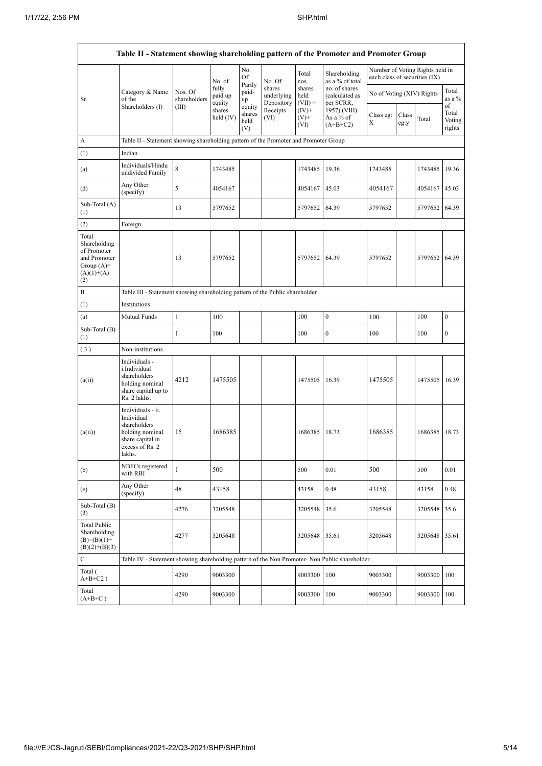|                                                                                             | Table II - Statement showing shareholding pattern of the Promoter and Promoter Group                                |                                                                              |                            |                                 |                                    |                             |                                              |                               |               |                                 |                           |
|---------------------------------------------------------------------------------------------|---------------------------------------------------------------------------------------------------------------------|------------------------------------------------------------------------------|----------------------------|---------------------------------|------------------------------------|-----------------------------|----------------------------------------------|-------------------------------|---------------|---------------------------------|---------------------------|
|                                                                                             |                                                                                                                     |                                                                              | No. of                     | No.<br>Of                       | No. Of                             | Total<br>nos.               | Shareholding<br>as a % of total              | each class of securities (IX) |               | Number of Voting Rights held in |                           |
| Sr.                                                                                         | Category & Name<br>of the                                                                                           | Nos. Of<br>shareholders                                                      | fully<br>paid up<br>equity | Partly<br>paid-<br>up           | shares<br>underlying<br>Depository | shares<br>held<br>$(VII) =$ | no. of shares<br>(calculated as<br>per SCRR, | No of Voting (XIV) Rights     |               |                                 | Total<br>as a %<br>of     |
|                                                                                             | Shareholders (I)                                                                                                    | (III)                                                                        | shares<br>held $(IV)$      | equity<br>shares<br>held<br>(V) | Receipts<br>(VI)                   | $(IV)$ +<br>$(V)$ +<br>(VI) | 1957) (VIII)<br>As a % of<br>$(A+B+C2)$      | Class eg:<br>X                | Class<br>eg:y | Total                           | Total<br>Voting<br>rights |
| А                                                                                           | Table II - Statement showing shareholding pattern of the Promoter and Promoter Group                                |                                                                              |                            |                                 |                                    |                             |                                              |                               |               |                                 |                           |
| (1)                                                                                         | Indian                                                                                                              |                                                                              |                            |                                 |                                    |                             |                                              |                               |               |                                 |                           |
| (a)                                                                                         | Individuals/Hindu<br>undivided Family                                                                               | 8                                                                            | 1743485                    |                                 |                                    | 1743485                     | 19.36                                        | 1743485                       |               | 1743485                         | 19.36                     |
| (d)                                                                                         | Any Other<br>(specify)                                                                                              | 5                                                                            | 4054167                    |                                 |                                    | 4054167                     | 45.03                                        | 4054167                       |               | 4054167                         | 45.03                     |
| Sub-Total (A)<br>(1)                                                                        |                                                                                                                     | 13                                                                           | 5797652                    |                                 |                                    | 5797652                     | 64.39                                        | 5797652                       |               | 5797652                         | 64.39                     |
| (2)                                                                                         | Foreign                                                                                                             |                                                                              |                            |                                 |                                    |                             |                                              |                               |               |                                 |                           |
| Total<br>Shareholding<br>of Promoter<br>and Promoter<br>Group $(A)=$<br>$(A)(1)+(A)$<br>(2) |                                                                                                                     | 13                                                                           | 5797652                    |                                 |                                    | 5797652                     | 64.39                                        | 5797652                       |               | 5797652 64.39                   |                           |
| B                                                                                           |                                                                                                                     | Table III - Statement showing shareholding pattern of the Public shareholder |                            |                                 |                                    |                             |                                              |                               |               |                                 |                           |
| (1)                                                                                         | Institutions                                                                                                        |                                                                              |                            |                                 |                                    |                             |                                              |                               |               |                                 |                           |
| (a)                                                                                         | Mutual Funds                                                                                                        | $\mathbf{1}$                                                                 | 100                        |                                 |                                    | 100                         | $\boldsymbol{0}$                             | 100                           |               | 100                             | $\boldsymbol{0}$          |
| Sub-Total (B)<br>(1)                                                                        |                                                                                                                     | $\mathbf{1}$                                                                 | 100                        |                                 |                                    | 100                         | $\boldsymbol{0}$                             | 100                           |               | 100                             | $\mathbf{0}$              |
| (3)                                                                                         | Non-institutions                                                                                                    |                                                                              |                            |                                 |                                    |                             |                                              |                               |               |                                 |                           |
| (a(i))                                                                                      | Individuals -<br>i.Individual<br>shareholders<br>holding nominal<br>share capital up to<br>Rs. 2 lakhs.             | 4212                                                                         | 1475505                    |                                 |                                    | 1475505                     | 16.39                                        | 1475505                       |               | 1475505                         | 16.39                     |
| (a(ii))                                                                                     | Individuals - ii.<br>Individual<br>shareholders<br>holding nominal<br>share capital in<br>excess of Rs. 2<br>lakhs. | 15                                                                           | 1686385                    |                                 |                                    | 1686385                     | 18.73                                        | 1686385                       |               | 1686385                         | 18.73                     |
| (b)                                                                                         | NBFCs registered<br>with RBI                                                                                        | $\mathbf{1}$                                                                 | 500                        |                                 |                                    | 500                         | 0.01                                         | 500                           |               | 500                             | 0.01                      |
| (e)                                                                                         | Any Other<br>(specify)                                                                                              | 48                                                                           | 43158                      |                                 |                                    | 43158                       | 0.48                                         | 43158                         |               | 43158                           | 0.48                      |
| Sub-Total (B)<br>(3)                                                                        |                                                                                                                     | 4276                                                                         | 3205548                    |                                 |                                    | 3205548                     | 35.6                                         | 3205548                       |               | 3205548                         | 35.6                      |
| <b>Total Public</b><br>Shareholding<br>$(B)= (B)(1) +$<br>$(B)(2)+(B)(3)$                   |                                                                                                                     | 4277                                                                         | 3205648                    |                                 |                                    | 3205648                     | 35.61                                        | 3205648                       |               | 3205648                         | 35.61                     |
| $\mathbf C$                                                                                 | Table IV - Statement showing shareholding pattern of the Non Promoter- Non Public shareholder                       |                                                                              |                            |                                 |                                    |                             |                                              |                               |               |                                 |                           |
| Total (<br>$A+B+C2$ )                                                                       |                                                                                                                     | 4290                                                                         | 9003300                    |                                 |                                    | 9003300                     | 100                                          | 9003300                       |               | 9003300                         | 100                       |
| Total<br>$(A+B+C)$                                                                          |                                                                                                                     | 4290                                                                         | 9003300                    |                                 |                                    | 9003300                     | 100                                          | 9003300                       |               | 9003300                         | 100                       |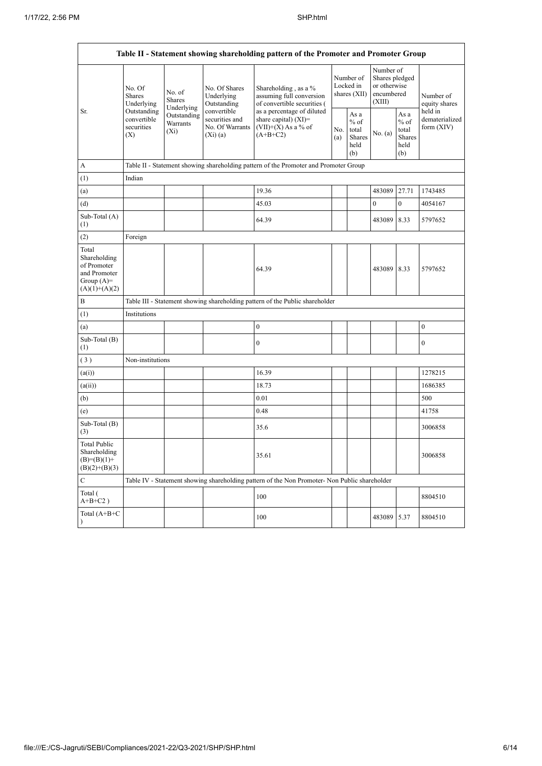r

|                                                                                         | Table II - Statement showing shareholding pattern of the Promoter and Promoter Group |                                                                                      |                                                             |                                                                                                            |  |                                        |                                                                     |                                                         |                                           |  |  |
|-----------------------------------------------------------------------------------------|--------------------------------------------------------------------------------------|--------------------------------------------------------------------------------------|-------------------------------------------------------------|------------------------------------------------------------------------------------------------------------|--|----------------------------------------|---------------------------------------------------------------------|---------------------------------------------------------|-------------------------------------------|--|--|
|                                                                                         | No. Of<br><b>Shares</b><br>Underlying                                                | No. of<br>Shares<br>Underlying                                                       | No. Of Shares<br>Underlying<br>Outstanding                  | Shareholding, as a %<br>assuming full conversion<br>of convertible securities (                            |  | Number of<br>Locked in<br>shares (XII) | Number of<br>Shares pledged<br>or otherwise<br>encumbered<br>(XIII) |                                                         | Number of<br>equity shares                |  |  |
| Sr.                                                                                     | Outstanding<br>convertible<br>securities<br>(X)                                      | Outstanding<br>Warrants<br>$(X_i)$                                                   | convertible<br>securities and<br>No. Of Warrants<br>(Xi)(a) | as a percentage of diluted<br>share capital) $(XI)$ =<br>$(VII)+(X)$ As a % of<br>No.<br>$(A+B+C2)$<br>(a) |  |                                        | No. (a)                                                             | As a<br>$%$ of<br>total<br><b>Shares</b><br>held<br>(b) | held in<br>dematerialized<br>form $(XIV)$ |  |  |
| A                                                                                       |                                                                                      | Table II - Statement showing shareholding pattern of the Promoter and Promoter Group |                                                             |                                                                                                            |  |                                        |                                                                     |                                                         |                                           |  |  |
| (1)                                                                                     | Indian                                                                               |                                                                                      |                                                             |                                                                                                            |  |                                        |                                                                     |                                                         |                                           |  |  |
| (a)                                                                                     |                                                                                      |                                                                                      |                                                             | 19.36                                                                                                      |  |                                        | 483089                                                              | 27.71                                                   | 1743485                                   |  |  |
| (d)                                                                                     |                                                                                      |                                                                                      |                                                             | 45.03                                                                                                      |  |                                        | $\mathbf{0}$                                                        | $\mathbf{0}$                                            | 4054167                                   |  |  |
| Sub-Total (A)<br>(1)                                                                    |                                                                                      |                                                                                      |                                                             | 64.39                                                                                                      |  |                                        | 483089                                                              | 8.33                                                    | 5797652                                   |  |  |
| (2)                                                                                     | Foreign                                                                              |                                                                                      |                                                             |                                                                                                            |  |                                        |                                                                     |                                                         |                                           |  |  |
| Total<br>Shareholding<br>of Promoter<br>and Promoter<br>Group $(A)=$<br>$(A)(1)+(A)(2)$ |                                                                                      |                                                                                      |                                                             | 64.39                                                                                                      |  |                                        | 483089 8.33                                                         |                                                         | 5797652                                   |  |  |
| B                                                                                       |                                                                                      |                                                                                      |                                                             | Table III - Statement showing shareholding pattern of the Public shareholder                               |  |                                        |                                                                     |                                                         |                                           |  |  |
| (1)                                                                                     | Institutions                                                                         |                                                                                      |                                                             |                                                                                                            |  |                                        |                                                                     |                                                         |                                           |  |  |
| (a)                                                                                     |                                                                                      |                                                                                      |                                                             | $\boldsymbol{0}$                                                                                           |  |                                        |                                                                     |                                                         | $\boldsymbol{0}$                          |  |  |
| $Sub-Total(B)$<br>(1)                                                                   |                                                                                      |                                                                                      |                                                             | $\overline{0}$                                                                                             |  |                                        |                                                                     |                                                         | $\mathbf{0}$                              |  |  |
| (3)                                                                                     | Non-institutions                                                                     |                                                                                      |                                                             |                                                                                                            |  |                                        |                                                                     |                                                         |                                           |  |  |
| (a(i))                                                                                  |                                                                                      |                                                                                      |                                                             | 16.39                                                                                                      |  |                                        |                                                                     |                                                         | 1278215                                   |  |  |
| (a(ii))                                                                                 |                                                                                      |                                                                                      |                                                             | 18.73                                                                                                      |  |                                        |                                                                     |                                                         | 1686385                                   |  |  |
| (b)                                                                                     |                                                                                      |                                                                                      |                                                             | 0.01                                                                                                       |  |                                        |                                                                     |                                                         | 500                                       |  |  |
| (e)                                                                                     |                                                                                      |                                                                                      |                                                             | 0.48                                                                                                       |  |                                        |                                                                     |                                                         | 41758                                     |  |  |
| Sub-Total (B)<br>(3)                                                                    |                                                                                      |                                                                                      |                                                             | 35.6                                                                                                       |  |                                        |                                                                     |                                                         | 3006858                                   |  |  |
| <b>Total Public</b><br>Shareholding<br>$(B)=(B)(1)+$<br>$(B)(2)+(B)(3)$                 |                                                                                      |                                                                                      |                                                             | 35.61                                                                                                      |  |                                        |                                                                     |                                                         | 3006858                                   |  |  |
| $\mathbf C$                                                                             |                                                                                      |                                                                                      |                                                             | Table IV - Statement showing shareholding pattern of the Non Promoter- Non Public shareholder              |  |                                        |                                                                     |                                                         |                                           |  |  |
| Total (<br>$A+B+C2$ )                                                                   |                                                                                      |                                                                                      |                                                             | 100                                                                                                        |  |                                        |                                                                     |                                                         | 8804510                                   |  |  |
| Total $(A+B+C)$<br>$\lambda$                                                            |                                                                                      |                                                                                      |                                                             | 100                                                                                                        |  |                                        | 483089 5.37                                                         |                                                         | 8804510                                   |  |  |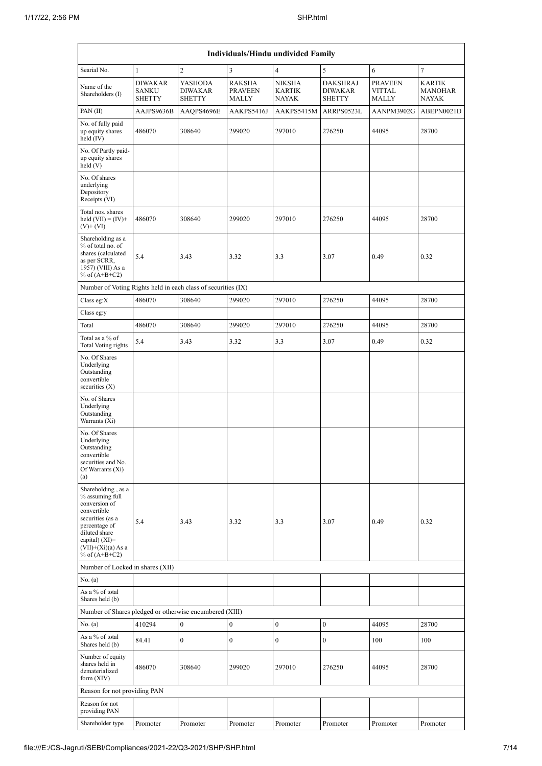|                                                                                                                      |                                                 |                                                   |                                                 | Individuals/Hindu undivided Family             |                                                    |                                                 |                                                 |
|----------------------------------------------------------------------------------------------------------------------|-------------------------------------------------|---------------------------------------------------|-------------------------------------------------|------------------------------------------------|----------------------------------------------------|-------------------------------------------------|-------------------------------------------------|
| Searial No.                                                                                                          | $\mathbf{1}$                                    | $\overline{2}$                                    | 3                                               | $\overline{4}$                                 | 5                                                  | 6                                               | 7                                               |
| Name of the<br>Shareholders (I)                                                                                      | <b>DIWAKAR</b><br><b>SANKU</b><br><b>SHETTY</b> | <b>YASHODA</b><br><b>DIWAKAR</b><br><b>SHETTY</b> | <b>RAKSHA</b><br><b>PRAVEEN</b><br><b>MALLY</b> | <b>NIKSHA</b><br><b>KARTIK</b><br><b>NAYAK</b> | <b>DAKSHRAJ</b><br><b>DIWAKAR</b><br><b>SHETTY</b> | <b>PRAVEEN</b><br><b>VITTAL</b><br><b>MALLY</b> | <b>KARTIK</b><br><b>MANOHAR</b><br><b>NAYAK</b> |
| PAN(II)                                                                                                              | AAJPS9636B                                      | AAQPS4696E                                        | AAKPS5416J                                      | AAKPS5415M                                     | ARRPS0523L                                         | AANPM3902G                                      | ABEPN0021D                                      |
| No. of fully paid<br>up equity shares<br>held (IV)                                                                   | 486070                                          | 308640                                            | 299020                                          | 297010                                         | 276250                                             | 44095                                           | 28700                                           |
| No. Of Partly paid-<br>up equity shares<br>held (V)                                                                  |                                                 |                                                   |                                                 |                                                |                                                    |                                                 |                                                 |
| No. Of shares<br>underlying<br>Depository<br>Receipts (VI)                                                           |                                                 |                                                   |                                                 |                                                |                                                    |                                                 |                                                 |
| Total nos. shares<br>held $(VII) = (IV) +$<br>$(V)$ + $(VI)$                                                         | 486070                                          | 308640                                            | 299020                                          | 297010                                         | 276250                                             | 44095                                           | 28700                                           |
| Shareholding as a<br>% of total no. of<br>shares (calculated<br>as per SCRR,<br>1957) (VIII) As a<br>% of $(A+B+C2)$ | 5.4                                             | 3.43                                              | 3.32                                            | 3.3                                            | 3.07                                               | 0.49                                            | 0.32                                            |
| Number of Voting Rights held in each class of securities (IX)                                                        |                                                 |                                                   |                                                 |                                                |                                                    |                                                 |                                                 |
| Class eg:X                                                                                                           | 486070                                          | 308640                                            | 299020                                          | 297010                                         | 276250                                             | 44095                                           | 28700                                           |
| Class eg:y                                                                                                           |                                                 |                                                   |                                                 |                                                |                                                    |                                                 |                                                 |
| Total                                                                                                                | 486070                                          | 308640                                            | 299020                                          | 297010                                         | 276250                                             | 44095                                           | 28700                                           |
| Total as a % of<br>Total Voting rights                                                                               | 5.4                                             | 3.43                                              | 3.32                                            | 3.3                                            | 3.07                                               | 0.49                                            | 0.32                                            |
| No. Of Shares<br>Underlying<br>Outstanding<br>convertible<br>securities $(X)$                                        |                                                 |                                                   |                                                 |                                                |                                                    |                                                 |                                                 |
| No. of Shares<br>Underlying<br>Outstanding<br>Warrants (Xi)                                                          |                                                 |                                                   |                                                 |                                                |                                                    |                                                 |                                                 |
| No. Of Shares<br>Underlying<br>Outstanding<br>convertible<br>securities and No.<br>Of Warrants (Xi)<br>(a)           |                                                 |                                                   |                                                 |                                                |                                                    |                                                 |                                                 |
| Shareholding, as a<br>% assuming full<br>conversion of<br>convertible<br>securities (as a<br>percentage of           | 5.4                                             | 3.43                                              | 3.32                                            | 3.3                                            | 3.07                                               | 0.49                                            | 0.32                                            |
| diluted share<br>capital) $(XI)$ =<br>$(VII)+(Xi)(a) As a$<br>% of $(A+B+C2)$                                        |                                                 |                                                   |                                                 |                                                |                                                    |                                                 |                                                 |
| Number of Locked in shares (XII)                                                                                     |                                                 |                                                   |                                                 |                                                |                                                    |                                                 |                                                 |
| No. (a)                                                                                                              |                                                 |                                                   |                                                 |                                                |                                                    |                                                 |                                                 |
| As a % of total<br>Shares held (b)                                                                                   |                                                 |                                                   |                                                 |                                                |                                                    |                                                 |                                                 |
| Number of Shares pledged or otherwise encumbered (XIII)                                                              |                                                 |                                                   |                                                 |                                                |                                                    |                                                 |                                                 |
| No. (a)                                                                                                              | 410294                                          | $\boldsymbol{0}$                                  | $\boldsymbol{0}$                                | $\boldsymbol{0}$                               | $\boldsymbol{0}$                                   | 44095                                           | 28700                                           |
| As a % of total<br>Shares held (b)                                                                                   | 84.41                                           | $\boldsymbol{0}$                                  | $\boldsymbol{0}$                                | $\boldsymbol{0}$                               | $\boldsymbol{0}$                                   | 100                                             | 100                                             |
| Number of equity<br>shares held in<br>dematerialized<br>form (XIV)                                                   | 486070                                          | 308640                                            | 299020                                          | 297010                                         | 276250                                             | 44095                                           | 28700                                           |
| Reason for not providing PAN                                                                                         |                                                 |                                                   |                                                 |                                                |                                                    |                                                 |                                                 |
| Reason for not<br>providing PAN                                                                                      |                                                 |                                                   |                                                 |                                                |                                                    |                                                 |                                                 |
| Shareholder type                                                                                                     | Promoter                                        | Promoter                                          | Promoter                                        | Promoter                                       | Promoter                                           | Promoter                                        | Promoter                                        |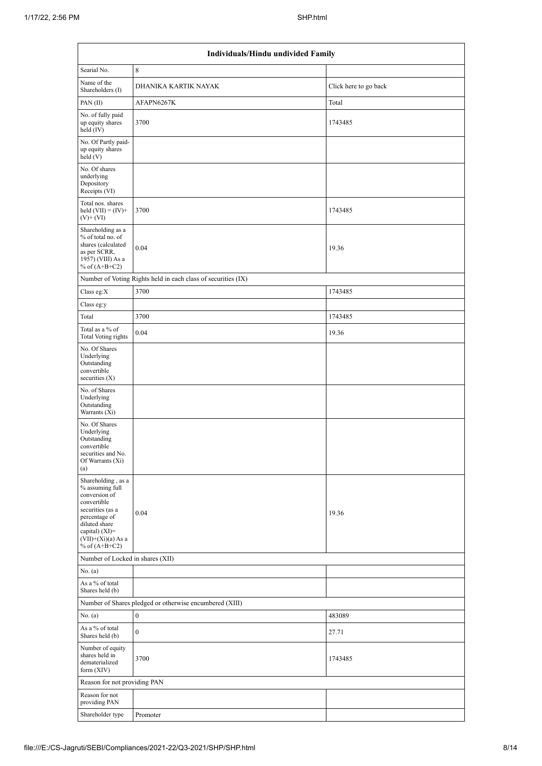|                                                                                                                                                                                          | Individuals/Hindu undivided Family                            |                       |  |  |  |  |  |  |
|------------------------------------------------------------------------------------------------------------------------------------------------------------------------------------------|---------------------------------------------------------------|-----------------------|--|--|--|--|--|--|
| Searial No.                                                                                                                                                                              | $\,$ 8 $\,$                                                   |                       |  |  |  |  |  |  |
| Name of the<br>Shareholders (I)                                                                                                                                                          | DHANIKA KARTIK NAYAK                                          | Click here to go back |  |  |  |  |  |  |
| PAN(II)                                                                                                                                                                                  | AFAPN6267K                                                    | Total                 |  |  |  |  |  |  |
| No. of fully paid<br>up equity shares<br>$held$ (IV)                                                                                                                                     | 3700                                                          | 1743485               |  |  |  |  |  |  |
| No. Of Partly paid-<br>up equity shares<br>held(V)                                                                                                                                       |                                                               |                       |  |  |  |  |  |  |
| No. Of shares<br>underlying<br>Depository<br>Receipts (VI)                                                                                                                               |                                                               |                       |  |  |  |  |  |  |
| Total nos. shares<br>held $(VII) = (IV) +$<br>$(V)$ + $(VI)$                                                                                                                             | 3700                                                          | 1743485               |  |  |  |  |  |  |
| Shareholding as a<br>% of total no. of<br>shares (calculated<br>as per SCRR,<br>1957) (VIII) As a<br>% of $(A+B+C2)$                                                                     | 0.04                                                          | 19.36                 |  |  |  |  |  |  |
|                                                                                                                                                                                          | Number of Voting Rights held in each class of securities (IX) |                       |  |  |  |  |  |  |
| Class eg: $X$                                                                                                                                                                            | 3700                                                          | 1743485               |  |  |  |  |  |  |
| Class eg:y                                                                                                                                                                               |                                                               |                       |  |  |  |  |  |  |
| Total                                                                                                                                                                                    | 3700                                                          | 1743485               |  |  |  |  |  |  |
| Total as a % of<br>Total Voting rights                                                                                                                                                   | 0.04                                                          | 19.36                 |  |  |  |  |  |  |
| No. Of Shares<br>Underlying<br>Outstanding<br>convertible<br>securities $(X)$                                                                                                            |                                                               |                       |  |  |  |  |  |  |
| No. of Shares<br>Underlying<br>Outstanding<br>Warrants (Xi)                                                                                                                              |                                                               |                       |  |  |  |  |  |  |
| No. Of Shares<br>Underlying<br>Outstanding<br>convertible<br>securities and No.<br>Of Warrants (Xi)<br>(a)                                                                               |                                                               |                       |  |  |  |  |  |  |
| Shareholding, as a<br>% assuming full<br>conversion of<br>convertible<br>securities (as a<br>percentage of<br>diluted share<br>capital) (XI)=<br>$(VII)+(Xi)(a)$ As a<br>% of $(A+B+C2)$ | 0.04                                                          | 19.36                 |  |  |  |  |  |  |
| Number of Locked in shares (XII)                                                                                                                                                         |                                                               |                       |  |  |  |  |  |  |
| No. (a)                                                                                                                                                                                  |                                                               |                       |  |  |  |  |  |  |
| As a $\%$ of total<br>Shares held (b)                                                                                                                                                    |                                                               |                       |  |  |  |  |  |  |
|                                                                                                                                                                                          | Number of Shares pledged or otherwise encumbered (XIII)       |                       |  |  |  |  |  |  |
| No. (a)                                                                                                                                                                                  | $\boldsymbol{0}$                                              | 483089                |  |  |  |  |  |  |
| As a % of total<br>Shares held (b)                                                                                                                                                       | $\boldsymbol{0}$                                              | 27.71                 |  |  |  |  |  |  |
| Number of equity<br>shares held in<br>dematerialized<br>form (XIV)                                                                                                                       | 3700                                                          | 1743485               |  |  |  |  |  |  |
| Reason for not providing PAN                                                                                                                                                             |                                                               |                       |  |  |  |  |  |  |
| Reason for not<br>providing PAN                                                                                                                                                          |                                                               |                       |  |  |  |  |  |  |
| Shareholder type                                                                                                                                                                         | Promoter                                                      |                       |  |  |  |  |  |  |
|                                                                                                                                                                                          |                                                               |                       |  |  |  |  |  |  |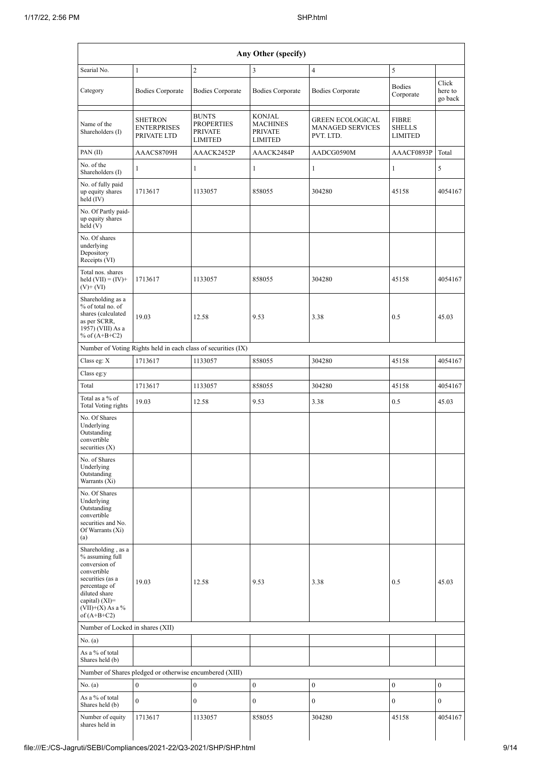| Any Other (specify)                                                                                                                                                                    |                                                         |                                                                       |                                                               |                                                                 |                                                 |                             |  |  |  |  |
|----------------------------------------------------------------------------------------------------------------------------------------------------------------------------------------|---------------------------------------------------------|-----------------------------------------------------------------------|---------------------------------------------------------------|-----------------------------------------------------------------|-------------------------------------------------|-----------------------------|--|--|--|--|
| Searial No.                                                                                                                                                                            | $\mathbf{1}$                                            | $\mathfrak{2}$                                                        | 3                                                             | $\overline{4}$                                                  | 5                                               |                             |  |  |  |  |
| Category                                                                                                                                                                               | <b>Bodies Corporate</b>                                 | <b>Bodies Corporate</b>                                               | <b>Bodies Corporate</b>                                       | <b>Bodies Corporate</b>                                         | <b>Bodies</b><br>Corporate                      | Click<br>here to<br>go back |  |  |  |  |
| Name of the<br>Shareholders (I)                                                                                                                                                        | <b>SHETRON</b><br><b>ENTERPRISES</b><br>PRIVATE LTD     | <b>BUNTS</b><br><b>PROPERTIES</b><br><b>PRIVATE</b><br><b>LIMITED</b> | <b>KONJAL</b><br><b>MACHINES</b><br><b>PRIVATE</b><br>LIMITED | <b>GREEN ECOLOGICAL</b><br><b>MANAGED SERVICES</b><br>PVT. LTD. | <b>FIBRE</b><br><b>SHELLS</b><br><b>LIMITED</b> |                             |  |  |  |  |
| PAN(II)                                                                                                                                                                                | AAACS8709H                                              | AAACK2452P                                                            | AAACK2484P                                                    | AADCG0590M                                                      | AAACF0893P                                      | Total                       |  |  |  |  |
| No. of the<br>Shareholders (I)                                                                                                                                                         | 1                                                       | $\mathbf{1}$                                                          | $\mathbf{1}$                                                  | $\mathbf{1}$                                                    | $\mathbf{1}$                                    | 5                           |  |  |  |  |
| No. of fully paid<br>up equity shares<br>held (IV)                                                                                                                                     | 1713617                                                 | 1133057                                                               | 858055                                                        | 304280                                                          | 45158                                           | 4054167                     |  |  |  |  |
| No. Of Partly paid-<br>up equity shares<br>held (V)                                                                                                                                    |                                                         |                                                                       |                                                               |                                                                 |                                                 |                             |  |  |  |  |
| No. Of shares<br>underlying<br>Depository<br>Receipts (VI)                                                                                                                             |                                                         |                                                                       |                                                               |                                                                 |                                                 |                             |  |  |  |  |
| Total nos. shares<br>held $(VII) = (IV) +$<br>$(V)$ + $(VI)$                                                                                                                           | 1713617                                                 | 1133057                                                               | 858055                                                        | 304280                                                          | 45158                                           | 4054167                     |  |  |  |  |
| Shareholding as a<br>% of total no. of<br>shares (calculated<br>as per SCRR,<br>1957) (VIII) As a<br>% of $(A+B+C2)$                                                                   | 19.03                                                   | 12.58                                                                 | 9.53                                                          | 3.38                                                            | 0.5                                             | 45.03                       |  |  |  |  |
| Number of Voting Rights held in each class of securities (IX)                                                                                                                          |                                                         |                                                                       |                                                               |                                                                 |                                                 |                             |  |  |  |  |
| Class eg: X                                                                                                                                                                            | 1713617                                                 | 1133057                                                               | 858055                                                        | 304280                                                          | 45158                                           | 4054167                     |  |  |  |  |
| Class eg:y                                                                                                                                                                             |                                                         |                                                                       |                                                               |                                                                 |                                                 |                             |  |  |  |  |
| Total                                                                                                                                                                                  | 1713617                                                 | 1133057                                                               | 858055                                                        | 304280                                                          | 45158                                           | 4054167                     |  |  |  |  |
| Total as a % of<br>Total Voting rights                                                                                                                                                 | 19.03                                                   | 12.58                                                                 | 9.53                                                          | 3.38                                                            | 0.5                                             | 45.03                       |  |  |  |  |
| No. Of Shares<br>Underlying<br>Outstanding<br>convertible<br>securities $(X)$                                                                                                          |                                                         |                                                                       |                                                               |                                                                 |                                                 |                             |  |  |  |  |
| No. of Shares<br>Underlying<br>Outstanding<br>Warrants (Xi)                                                                                                                            |                                                         |                                                                       |                                                               |                                                                 |                                                 |                             |  |  |  |  |
| No. Of Shares<br>Underlying<br>Outstanding<br>convertible<br>securities and No.<br>Of Warrants (Xi)<br>(a)                                                                             |                                                         |                                                                       |                                                               |                                                                 |                                                 |                             |  |  |  |  |
| Shareholding, as a<br>% assuming full<br>conversion of<br>convertible<br>securities (as a<br>percentage of<br>diluted share<br>capital) $(XI)=$<br>$(VII)+(X)$ As a %<br>of $(A+B+C2)$ | 19.03                                                   | 12.58                                                                 | 9.53                                                          | 3.38                                                            | 0.5                                             | 45.03                       |  |  |  |  |
| Number of Locked in shares (XII)                                                                                                                                                       |                                                         |                                                                       |                                                               |                                                                 |                                                 |                             |  |  |  |  |
| No. (a)                                                                                                                                                                                |                                                         |                                                                       |                                                               |                                                                 |                                                 |                             |  |  |  |  |
| As a % of total<br>Shares held (b)                                                                                                                                                     |                                                         |                                                                       |                                                               |                                                                 |                                                 |                             |  |  |  |  |
|                                                                                                                                                                                        | Number of Shares pledged or otherwise encumbered (XIII) |                                                                       |                                                               |                                                                 |                                                 |                             |  |  |  |  |
| No. (a)                                                                                                                                                                                | $\mathbf{0}$                                            | $\boldsymbol{0}$                                                      | $\boldsymbol{0}$                                              | $\boldsymbol{0}$                                                | $\boldsymbol{0}$                                | $\boldsymbol{0}$            |  |  |  |  |
| As a % of total<br>Shares held (b)                                                                                                                                                     | $\mathbf{0}$                                            | $\boldsymbol{0}$                                                      | $\boldsymbol{0}$                                              | $\mathbf{0}$                                                    | $\boldsymbol{0}$                                | $\overline{0}$              |  |  |  |  |
| Number of equity<br>shares held in                                                                                                                                                     | 1713617                                                 | 1133057                                                               | 858055                                                        | 304280                                                          | 45158                                           | 4054167                     |  |  |  |  |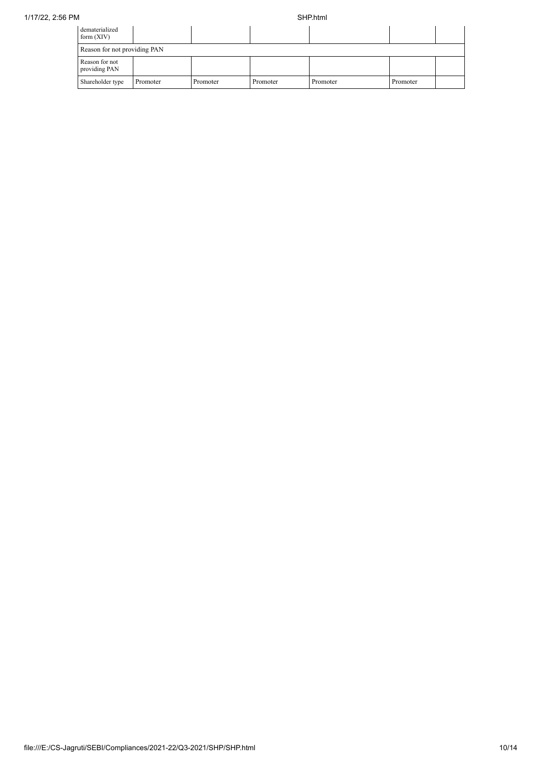| dematerialized<br>form $(XIV)$  |          |          |          |          |          |  |  |  |
|---------------------------------|----------|----------|----------|----------|----------|--|--|--|
| Reason for not providing PAN    |          |          |          |          |          |  |  |  |
| Reason for not<br>providing PAN |          |          |          |          |          |  |  |  |
| Shareholder type                | Promoter | Promoter | Promoter | Promoter | Promoter |  |  |  |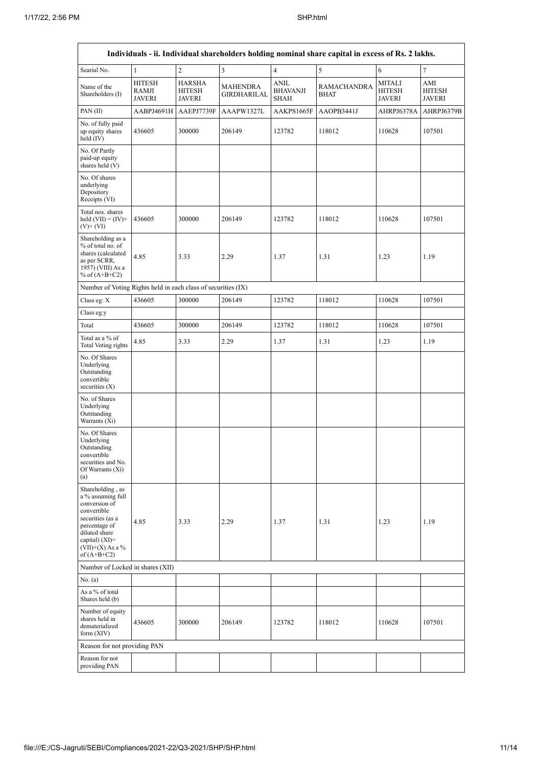|                                                                                                                                                                                         | Individuals - ii. Individual shareholders holding nominal share capital in excess of Rs. 2 lakhs. |                                          |                                       |                                        |                                   |                                          |                                       |  |
|-----------------------------------------------------------------------------------------------------------------------------------------------------------------------------------------|---------------------------------------------------------------------------------------------------|------------------------------------------|---------------------------------------|----------------------------------------|-----------------------------------|------------------------------------------|---------------------------------------|--|
| Searial No.                                                                                                                                                                             | 1                                                                                                 | $\sqrt{2}$                               | 3                                     | 4                                      | $\sqrt{5}$                        | 6                                        | $\overline{7}$                        |  |
| Name of the<br>Shareholders (I)                                                                                                                                                         | <b>HITESH</b><br>RAMJI<br><b>JAVERI</b>                                                           | <b>HARSHA</b><br><b>HITESH</b><br>JAVERI | <b>MAHENDRA</b><br><b>GIRDHARILAL</b> | <b>ANIL</b><br><b>BHAVANJI</b><br>SHAH | <b>RAMACHANDRA</b><br><b>BHAT</b> | <b>MITALI</b><br><b>HITESH</b><br>JAVERI | AMI<br><b>HITESH</b><br><b>JAVERI</b> |  |
| PAN(II)                                                                                                                                                                                 | AABPJ4691H                                                                                        | AAEPJ7739F                               | AAAPW1327L                            | AAKPS1665F                             | AAOPB3441J                        | AHRPJ6378A                               | AHRPJ6379B                            |  |
| No. of fully paid<br>up equity shares<br>held $(IV)$                                                                                                                                    | 436605                                                                                            | 300000                                   | 206149                                | 123782                                 | 118012                            | 110628                                   | 107501                                |  |
| No. Of Partly<br>paid-up equity<br>shares held (V)                                                                                                                                      |                                                                                                   |                                          |                                       |                                        |                                   |                                          |                                       |  |
| No. Of shares<br>underlying<br>Depository<br>Receipts (VI)                                                                                                                              |                                                                                                   |                                          |                                       |                                        |                                   |                                          |                                       |  |
| Total nos. shares<br>held $(VII) = (IV) +$<br>$(V)$ + $(V)$                                                                                                                             | 436605                                                                                            | 300000                                   | 206149                                | 123782                                 | 118012                            | 110628                                   | 107501                                |  |
| Shareholding as a<br>% of total no. of<br>shares (calculated<br>as per SCRR,<br>1957) (VIII) As a<br>% of $(A+B+C2)$                                                                    | 4.85                                                                                              | 3.33                                     | 2.29                                  | 1.37                                   | 1.31                              | 1.23                                     | 1.19                                  |  |
| Number of Voting Rights held in each class of securities (IX)                                                                                                                           |                                                                                                   |                                          |                                       |                                        |                                   |                                          |                                       |  |
| Class eg: X                                                                                                                                                                             | 436605                                                                                            | 300000                                   | 206149                                | 123782                                 | 118012                            | 110628                                   | 107501                                |  |
| Class eg:y                                                                                                                                                                              |                                                                                                   |                                          |                                       |                                        |                                   |                                          |                                       |  |
| Total                                                                                                                                                                                   | 436605                                                                                            | 300000                                   | 206149                                | 123782                                 | 118012                            | 110628                                   | 107501                                |  |
| Total as a % of<br>Total Voting rights                                                                                                                                                  | 4.85                                                                                              | 3.33                                     | 2.29                                  | 1.37                                   | 1.31                              | 1.23                                     | 1.19                                  |  |
| No. Of Shares<br>Underlying<br>Outstanding<br>convertible<br>securities $(X)$                                                                                                           |                                                                                                   |                                          |                                       |                                        |                                   |                                          |                                       |  |
| No. of Shares<br>Underlying<br>Outstanding<br>Warrants (Xi)                                                                                                                             |                                                                                                   |                                          |                                       |                                        |                                   |                                          |                                       |  |
| No. Of Shares<br>Underlying<br>Outstanding<br>convertible<br>securities and No.<br>Of Warrants (Xi)<br>(a)                                                                              |                                                                                                   |                                          |                                       |                                        |                                   |                                          |                                       |  |
| Shareholding, as<br>a % assuming full<br>conversion of<br>convertible<br>securities (as a<br>percentage of<br>diluted share<br>capital) $(XI)$ =<br>$(VII)+(X)$ As a %<br>of $(A+B+C2)$ | 4.85                                                                                              | 3.33                                     | 2.29                                  | 1.37                                   | 1.31                              | 1.23                                     | 1.19                                  |  |
| Number of Locked in shares (XII)                                                                                                                                                        |                                                                                                   |                                          |                                       |                                        |                                   |                                          |                                       |  |
| No. (a)                                                                                                                                                                                 |                                                                                                   |                                          |                                       |                                        |                                   |                                          |                                       |  |
| As a % of total<br>Shares held (b)                                                                                                                                                      |                                                                                                   |                                          |                                       |                                        |                                   |                                          |                                       |  |
| Number of equity<br>shares held in<br>dematerialized<br>form $(XIV)$                                                                                                                    | 436605                                                                                            | 300000                                   | 206149                                | 123782                                 | 118012                            | 110628                                   | 107501                                |  |
| Reason for not providing PAN                                                                                                                                                            |                                                                                                   |                                          |                                       |                                        |                                   |                                          |                                       |  |
| Reason for not<br>providing PAN                                                                                                                                                         |                                                                                                   |                                          |                                       |                                        |                                   |                                          |                                       |  |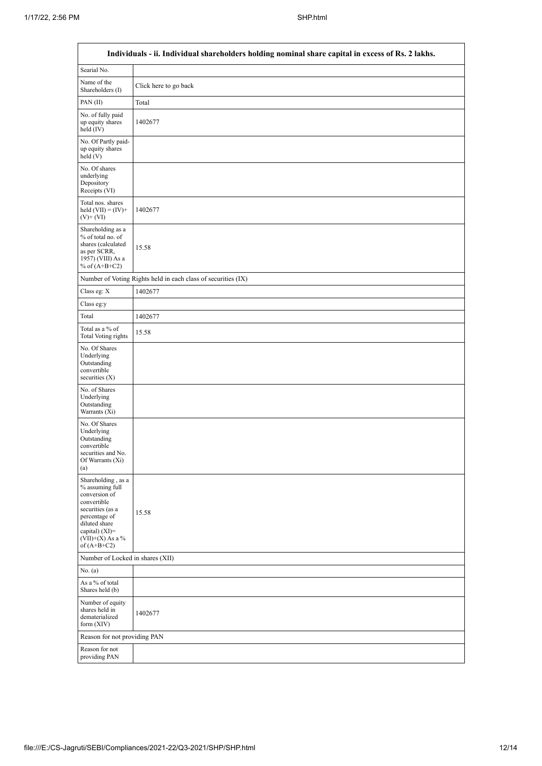|                                                                                                                                                                                         | Individuals - ii. Individual shareholders holding nominal share capital in excess of Rs. 2 lakhs. |
|-----------------------------------------------------------------------------------------------------------------------------------------------------------------------------------------|---------------------------------------------------------------------------------------------------|
| Searial No.                                                                                                                                                                             |                                                                                                   |
| Name of the<br>Shareholders (I)                                                                                                                                                         | Click here to go back                                                                             |
| PAN(II)                                                                                                                                                                                 | Total                                                                                             |
| No. of fully paid<br>up equity shares<br>held (IV)                                                                                                                                      | 1402677                                                                                           |
| No. Of Partly paid-<br>up equity shares<br>held(V)                                                                                                                                      |                                                                                                   |
| No. Of shares<br>underlying<br>Depository<br>Receipts (VI)                                                                                                                              |                                                                                                   |
| Total nos. shares<br>held $(VII) = (IV) +$<br>$(V)$ + $(VI)$                                                                                                                            | 1402677                                                                                           |
| Shareholding as a<br>% of total no. of<br>shares (calculated<br>as per SCRR,<br>1957) (VIII) As a<br>% of $(A+B+C2)$                                                                    | 15.58                                                                                             |
|                                                                                                                                                                                         | Number of Voting Rights held in each class of securities (IX)                                     |
| Class eg: X                                                                                                                                                                             | 1402677                                                                                           |
| Class eg:y                                                                                                                                                                              |                                                                                                   |
| Total                                                                                                                                                                                   | 1402677                                                                                           |
| Total as a % of<br>Total Voting rights                                                                                                                                                  | 15.58                                                                                             |
| No. Of Shares<br>Underlying<br>Outstanding<br>convertible<br>securities $(X)$                                                                                                           |                                                                                                   |
| No. of Shares<br>Underlying<br>Outstanding<br>Warrants (Xi)                                                                                                                             |                                                                                                   |
| No. Of Shares<br>Underlying<br>Outstanding<br>convertible<br>securities and No.<br>Of Warrants (Xi)<br>(a)                                                                              |                                                                                                   |
| Shareholding, as a<br>$\%$ assuming full<br>conversion of<br>convertible<br>securities (as a<br>percentage of<br>diluted share<br>capital) (XI)=<br>$(VII)+(X)$ As a %<br>of $(A+B+C2)$ | 15.58                                                                                             |
| Number of Locked in shares (XII)                                                                                                                                                        |                                                                                                   |
| No. (a)                                                                                                                                                                                 |                                                                                                   |
| As a % of total<br>Shares held (b)                                                                                                                                                      |                                                                                                   |
| Number of equity<br>shares held in<br>dematerialized<br>form $(XIV)$                                                                                                                    | 1402677                                                                                           |
| Reason for not providing PAN                                                                                                                                                            |                                                                                                   |
| Reason for not<br>providing PAN                                                                                                                                                         |                                                                                                   |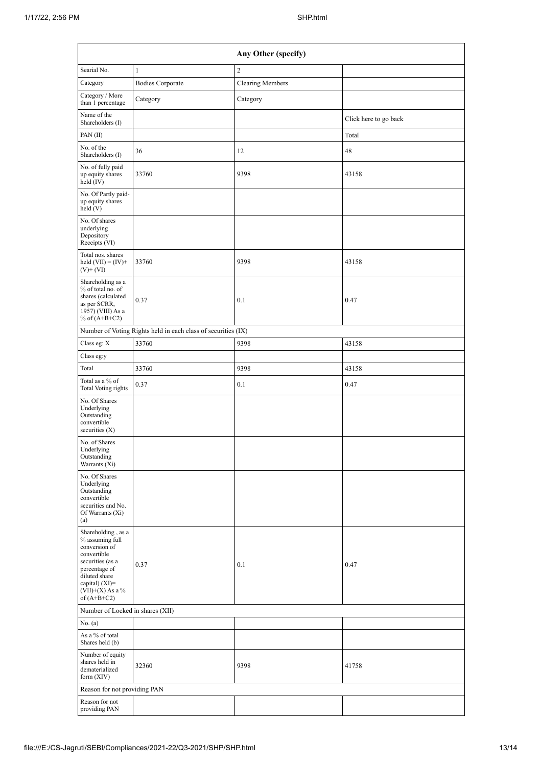| Any Other (specify)                                                                                                                                                                  |                                                               |                         |                       |  |  |  |  |  |  |
|--------------------------------------------------------------------------------------------------------------------------------------------------------------------------------------|---------------------------------------------------------------|-------------------------|-----------------------|--|--|--|--|--|--|
| Searial No.                                                                                                                                                                          | $\mathbf{1}$                                                  | $\sqrt{2}$              |                       |  |  |  |  |  |  |
| Category                                                                                                                                                                             | <b>Bodies Corporate</b>                                       | <b>Clearing Members</b> |                       |  |  |  |  |  |  |
| Category / More<br>than 1 percentage                                                                                                                                                 | Category                                                      | Category                |                       |  |  |  |  |  |  |
| Name of the<br>Shareholders (I)                                                                                                                                                      |                                                               |                         | Click here to go back |  |  |  |  |  |  |
| PAN(II)                                                                                                                                                                              |                                                               |                         | Total                 |  |  |  |  |  |  |
| No. of the<br>Shareholders (I)                                                                                                                                                       | 36                                                            | 12                      | 48                    |  |  |  |  |  |  |
| No. of fully paid<br>up equity shares<br>held (IV)                                                                                                                                   | 33760                                                         | 9398                    | 43158                 |  |  |  |  |  |  |
| No. Of Partly paid-<br>up equity shares<br>held (V)                                                                                                                                  |                                                               |                         |                       |  |  |  |  |  |  |
| No. Of shares<br>underlying<br>Depository<br>Receipts (VI)                                                                                                                           |                                                               |                         |                       |  |  |  |  |  |  |
| Total nos. shares<br>held $(VII) = (IV) +$<br>$(V)$ + $(VI)$                                                                                                                         | 33760                                                         | 9398                    | 43158                 |  |  |  |  |  |  |
| Shareholding as a<br>% of total no. of<br>shares (calculated<br>as per SCRR,<br>1957) (VIII) As a<br>% of $(A+B+C2)$                                                                 | 0.37                                                          | 0.1                     | 0.47                  |  |  |  |  |  |  |
|                                                                                                                                                                                      | Number of Voting Rights held in each class of securities (IX) |                         |                       |  |  |  |  |  |  |
| Class eg: X                                                                                                                                                                          | 33760                                                         | 9398                    | 43158                 |  |  |  |  |  |  |
| Class eg:y                                                                                                                                                                           |                                                               |                         |                       |  |  |  |  |  |  |
| Total                                                                                                                                                                                | 33760                                                         | 9398                    | 43158                 |  |  |  |  |  |  |
| Total as a % of<br>Total Voting rights                                                                                                                                               | 0.37                                                          | 0.1                     | 0.47                  |  |  |  |  |  |  |
| No. Of Shares<br>Underlying<br>Outstanding<br>convertible<br>securities (X)                                                                                                          |                                                               |                         |                       |  |  |  |  |  |  |
| No. of Shares<br>Underlying<br>Outstanding<br>Warrants (Xi)                                                                                                                          |                                                               |                         |                       |  |  |  |  |  |  |
| No. Of Shares<br>Underlying<br>Outstanding<br>convertible<br>securities and No.<br>Of Warrants (Xi)<br>(a)                                                                           |                                                               |                         |                       |  |  |  |  |  |  |
| Shareholding, as a<br>% assuming full<br>conversion of<br>convertible<br>securities (as a<br>percentage of<br>diluted share<br>capital) (XI)=<br>$(VII)+(X)$ As a %<br>of $(A+B+C2)$ | 0.37                                                          | 0.1                     | 0.47                  |  |  |  |  |  |  |
| Number of Locked in shares (XII)                                                                                                                                                     |                                                               |                         |                       |  |  |  |  |  |  |
| No. (a)                                                                                                                                                                              |                                                               |                         |                       |  |  |  |  |  |  |
| As a % of total<br>Shares held (b)                                                                                                                                                   |                                                               |                         |                       |  |  |  |  |  |  |
| Number of equity<br>shares held in<br>dematerialized<br>form $(XIV)$                                                                                                                 | 32360                                                         | 9398                    | 41758                 |  |  |  |  |  |  |
| Reason for not providing PAN                                                                                                                                                         |                                                               |                         |                       |  |  |  |  |  |  |
| Reason for not<br>providing PAN                                                                                                                                                      |                                                               |                         |                       |  |  |  |  |  |  |